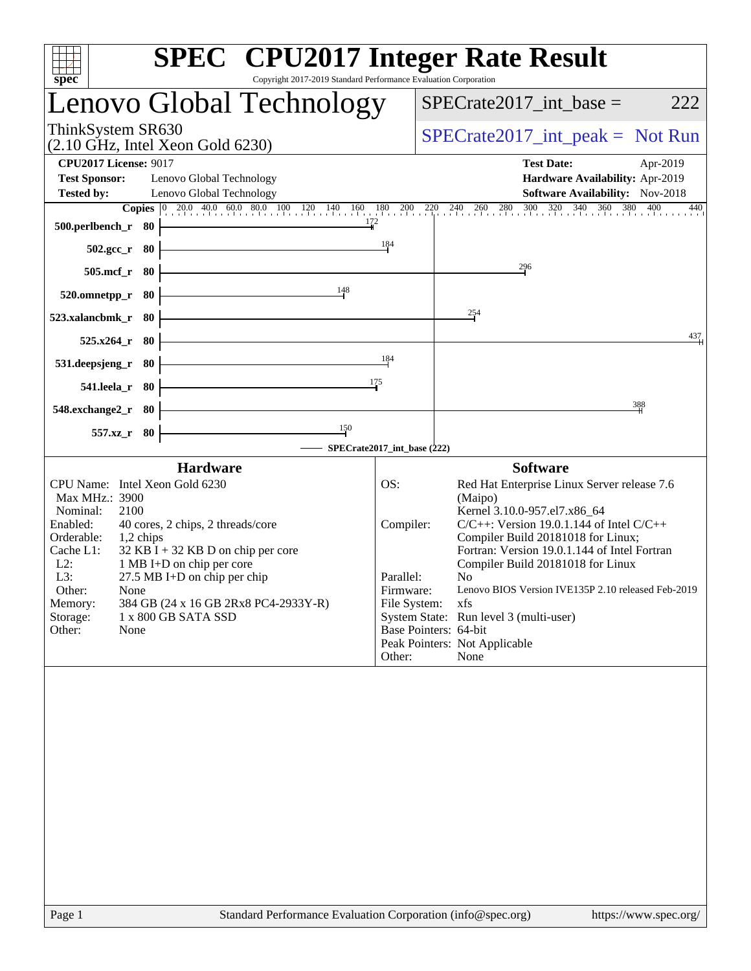| <b>SPEC<sup>®</sup></b> CPU2017 Integer Rate Result<br>Copyright 2017-2019 Standard Performance Evaluation Corporation<br>$spec^*$                                                                                                                                                                                                                                                                            |                                                                      |                                                                                                                                                                                                                                                                                                                                                                                                                                                   |
|---------------------------------------------------------------------------------------------------------------------------------------------------------------------------------------------------------------------------------------------------------------------------------------------------------------------------------------------------------------------------------------------------------------|----------------------------------------------------------------------|---------------------------------------------------------------------------------------------------------------------------------------------------------------------------------------------------------------------------------------------------------------------------------------------------------------------------------------------------------------------------------------------------------------------------------------------------|
| Lenovo Global Technology                                                                                                                                                                                                                                                                                                                                                                                      |                                                                      | $SPECrate2017\_int\_base =$<br>222                                                                                                                                                                                                                                                                                                                                                                                                                |
| ThinkSystem SR630<br>$(2.10 \text{ GHz}, \text{Intel Xeon Gold } 6230)$                                                                                                                                                                                                                                                                                                                                       |                                                                      | $SPECrate2017\_int\_peak = Not Run$                                                                                                                                                                                                                                                                                                                                                                                                               |
| <b>CPU2017 License: 9017</b>                                                                                                                                                                                                                                                                                                                                                                                  |                                                                      | <b>Test Date:</b><br>Apr-2019                                                                                                                                                                                                                                                                                                                                                                                                                     |
| <b>Test Sponsor:</b><br>Lenovo Global Technology<br>Lenovo Global Technology<br><b>Tested by:</b>                                                                                                                                                                                                                                                                                                             |                                                                      | Hardware Availability: Apr-2019<br>Software Availability: Nov-2018                                                                                                                                                                                                                                                                                                                                                                                |
| Copies $ 0 $<br>172<br>500.perlbench_r<br>- 80                                                                                                                                                                                                                                                                                                                                                                |                                                                      | $20.0$ $40.0$ $60.0$ $80.0$ $100$ $120$ $140$ $160$ $180$ $200$ $220$ $240$ $260$ $280$ $300$ $320$ $340$ $360$ $380$<br>$\frac{400}{1}$<br>440                                                                                                                                                                                                                                                                                                   |
| 80<br>$502.\text{gcc}_{r}$                                                                                                                                                                                                                                                                                                                                                                                    | 184                                                                  |                                                                                                                                                                                                                                                                                                                                                                                                                                                   |
| $505$ .mcf_r<br>80                                                                                                                                                                                                                                                                                                                                                                                            |                                                                      | 296                                                                                                                                                                                                                                                                                                                                                                                                                                               |
| 148<br>80<br>520.omnetpp_r                                                                                                                                                                                                                                                                                                                                                                                    |                                                                      |                                                                                                                                                                                                                                                                                                                                                                                                                                                   |
| 523.xalancbmk_r<br>-80                                                                                                                                                                                                                                                                                                                                                                                        |                                                                      | $\frac{254}{3}$                                                                                                                                                                                                                                                                                                                                                                                                                                   |
| 525.x264_r<br>80                                                                                                                                                                                                                                                                                                                                                                                              |                                                                      | 437                                                                                                                                                                                                                                                                                                                                                                                                                                               |
| 531.deepsjeng_r<br>-80                                                                                                                                                                                                                                                                                                                                                                                        | 184                                                                  |                                                                                                                                                                                                                                                                                                                                                                                                                                                   |
| 541.leela_r<br>80                                                                                                                                                                                                                                                                                                                                                                                             | 175                                                                  |                                                                                                                                                                                                                                                                                                                                                                                                                                                   |
| 548.exchange2_r<br>80                                                                                                                                                                                                                                                                                                                                                                                         |                                                                      | 388                                                                                                                                                                                                                                                                                                                                                                                                                                               |
| 150<br>$557.xz$ _r<br>80<br>SPECrate2017_int_base (222)                                                                                                                                                                                                                                                                                                                                                       |                                                                      |                                                                                                                                                                                                                                                                                                                                                                                                                                                   |
| <b>Hardware</b>                                                                                                                                                                                                                                                                                                                                                                                               |                                                                      | <b>Software</b>                                                                                                                                                                                                                                                                                                                                                                                                                                   |
| CPU Name: Intel Xeon Gold 6230<br>Max MHz.: 3900<br>Nominal:<br>2100<br>Enabled:<br>40 cores, 2 chips, 2 threads/core<br>Orderable:<br>1,2 chips<br>$32$ KB I + 32 KB D on chip per core<br>Cache L1:<br>$L2$ :<br>1 MB I+D on chip per core<br>L3:<br>27.5 MB I+D on chip per chip<br>Other:<br>None<br>384 GB (24 x 16 GB 2Rx8 PC4-2933Y-R)<br>Memory:<br>Storage:<br>1 x 800 GB SATA SSD<br>Other:<br>None | OS:<br>Compiler:<br>Parallel:<br>Firmware:<br>File System:<br>Other: | Red Hat Enterprise Linux Server release 7.6<br>(Maipo)<br>Kernel 3.10.0-957.el7.x86_64<br>$C/C++$ : Version 19.0.1.144 of Intel $C/C++$<br>Compiler Build 20181018 for Linux;<br>Fortran: Version 19.0.1.144 of Intel Fortran<br>Compiler Build 20181018 for Linux<br>No<br>Lenovo BIOS Version IVE135P 2.10 released Feb-2019<br>xfs<br>System State: Run level 3 (multi-user)<br>Base Pointers: 64-bit<br>Peak Pointers: Not Applicable<br>None |
|                                                                                                                                                                                                                                                                                                                                                                                                               |                                                                      |                                                                                                                                                                                                                                                                                                                                                                                                                                                   |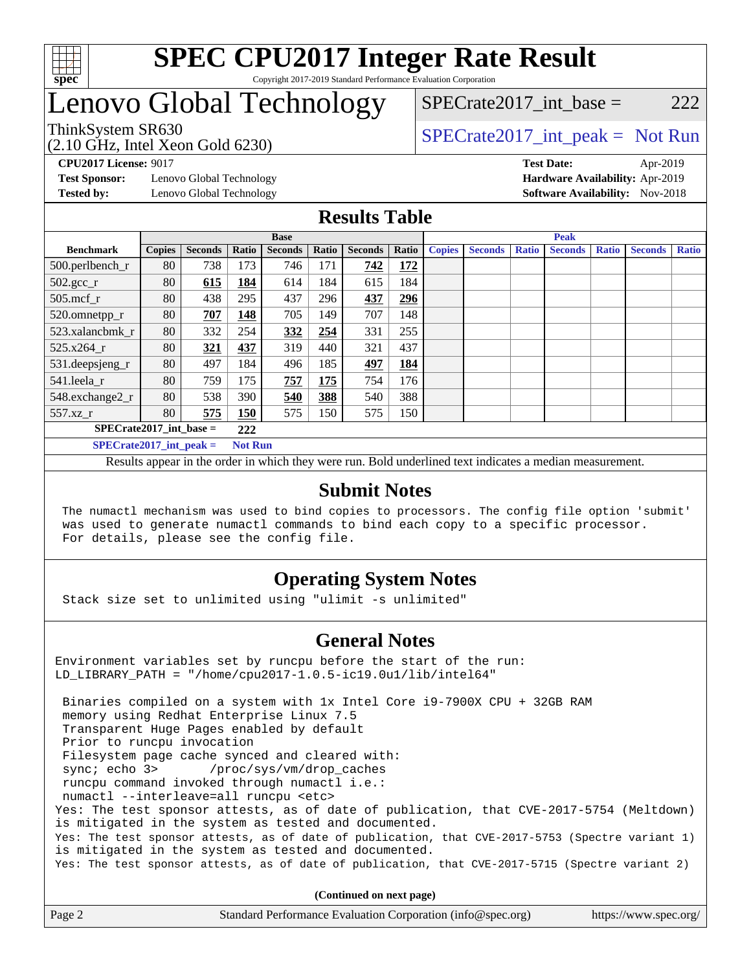

# Lenovo Global Technology

SPECrate2017 int\_base =  $222$ 

(2.10 GHz, Intel Xeon Gold 6230)

ThinkSystem SR630<br>  $SPECTA = Not Run$ <br>  $SPECTA = Not Run$ 

**[Test Sponsor:](http://www.spec.org/auto/cpu2017/Docs/result-fields.html#TestSponsor)** Lenovo Global Technology **[Hardware Availability:](http://www.spec.org/auto/cpu2017/Docs/result-fields.html#HardwareAvailability)** Apr-2019

**[CPU2017 License:](http://www.spec.org/auto/cpu2017/Docs/result-fields.html#CPU2017License)** 9017 **[Test Date:](http://www.spec.org/auto/cpu2017/Docs/result-fields.html#TestDate)** Apr-2019 **[Tested by:](http://www.spec.org/auto/cpu2017/Docs/result-fields.html#Testedby)** Lenovo Global Technology **[Software Availability:](http://www.spec.org/auto/cpu2017/Docs/result-fields.html#SoftwareAvailability)** Nov-2018

### **[Results Table](http://www.spec.org/auto/cpu2017/Docs/result-fields.html#ResultsTable)**

|                                  | <b>Base</b>   |                |       |                | <b>Peak</b> |                |       |               |                |       |                |              |                |              |
|----------------------------------|---------------|----------------|-------|----------------|-------------|----------------|-------|---------------|----------------|-------|----------------|--------------|----------------|--------------|
| <b>Benchmark</b>                 | <b>Copies</b> | <b>Seconds</b> | Ratio | <b>Seconds</b> | Ratio       | <b>Seconds</b> | Ratio | <b>Copies</b> | <b>Seconds</b> | Ratio | <b>Seconds</b> | <b>Ratio</b> | <b>Seconds</b> | <b>Ratio</b> |
| 500.perlbench_r                  | 80            | 738            | 173   | 746            | 171         | 742            | 172   |               |                |       |                |              |                |              |
| $502.\text{gcc}_r$               | 80            | 615            | 184   | 614            | 184         | 615            | 184   |               |                |       |                |              |                |              |
| $505$ .mcf r                     | 80            | 438            | 295   | 437            | 296         | 437            | 296   |               |                |       |                |              |                |              |
| 520.omnetpp_r                    | 80            | 707            | 148   | 705            | 149         | 707            | 148   |               |                |       |                |              |                |              |
| 523.xalancbmk_r                  | 80            | 332            | 254   | 332            | 254         | 331            | 255   |               |                |       |                |              |                |              |
| 525.x264 r                       | 80            | 321            | 437   | 319            | 440         | 321            | 437   |               |                |       |                |              |                |              |
| 531.deepsjeng_r                  | 80            | 497            | 184   | 496            | 185         | 497            | 184   |               |                |       |                |              |                |              |
| 541.leela r                      | 80            | 759            | 175   | 757            | 175         | 754            | 176   |               |                |       |                |              |                |              |
| 548.exchange2_r                  | 80            | 538            | 390   | 540            | 388         | 540            | 388   |               |                |       |                |              |                |              |
| 557.xz r                         | 80            | 575            | 150   | 575            | 150         | 575            | 150   |               |                |       |                |              |                |              |
| $SPECrate2017$ int base =<br>222 |               |                |       |                |             |                |       |               |                |       |                |              |                |              |
| $SPECrate2017$ int peak =        |               |                |       | <b>Not Run</b> |             |                |       |               |                |       |                |              |                |              |

Results appear in the [order in which they were run](http://www.spec.org/auto/cpu2017/Docs/result-fields.html#RunOrder). Bold underlined text [indicates a median measurement](http://www.spec.org/auto/cpu2017/Docs/result-fields.html#Median).

### **[Submit Notes](http://www.spec.org/auto/cpu2017/Docs/result-fields.html#SubmitNotes)**

 The numactl mechanism was used to bind copies to processors. The config file option 'submit' was used to generate numactl commands to bind each copy to a specific processor. For details, please see the config file.

### **[Operating System Notes](http://www.spec.org/auto/cpu2017/Docs/result-fields.html#OperatingSystemNotes)**

Stack size set to unlimited using "ulimit -s unlimited"

### **[General Notes](http://www.spec.org/auto/cpu2017/Docs/result-fields.html#GeneralNotes)**

Environment variables set by runcpu before the start of the run: LD\_LIBRARY\_PATH = "/home/cpu2017-1.0.5-ic19.0u1/lib/intel64"

 Binaries compiled on a system with 1x Intel Core i9-7900X CPU + 32GB RAM memory using Redhat Enterprise Linux 7.5 Transparent Huge Pages enabled by default Prior to runcpu invocation Filesystem page cache synced and cleared with: sync; echo 3> /proc/sys/vm/drop\_caches runcpu command invoked through numactl i.e.: numactl --interleave=all runcpu <etc> Yes: The test sponsor attests, as of date of publication, that CVE-2017-5754 (Meltdown) is mitigated in the system as tested and documented. Yes: The test sponsor attests, as of date of publication, that CVE-2017-5753 (Spectre variant 1) is mitigated in the system as tested and documented. Yes: The test sponsor attests, as of date of publication, that CVE-2017-5715 (Spectre variant 2)

**(Continued on next page)**

| Page 2 | Standard Performance Evaluation Corporation (info@spec.org) | https://www.spec.org/ |
|--------|-------------------------------------------------------------|-----------------------|
|        |                                                             |                       |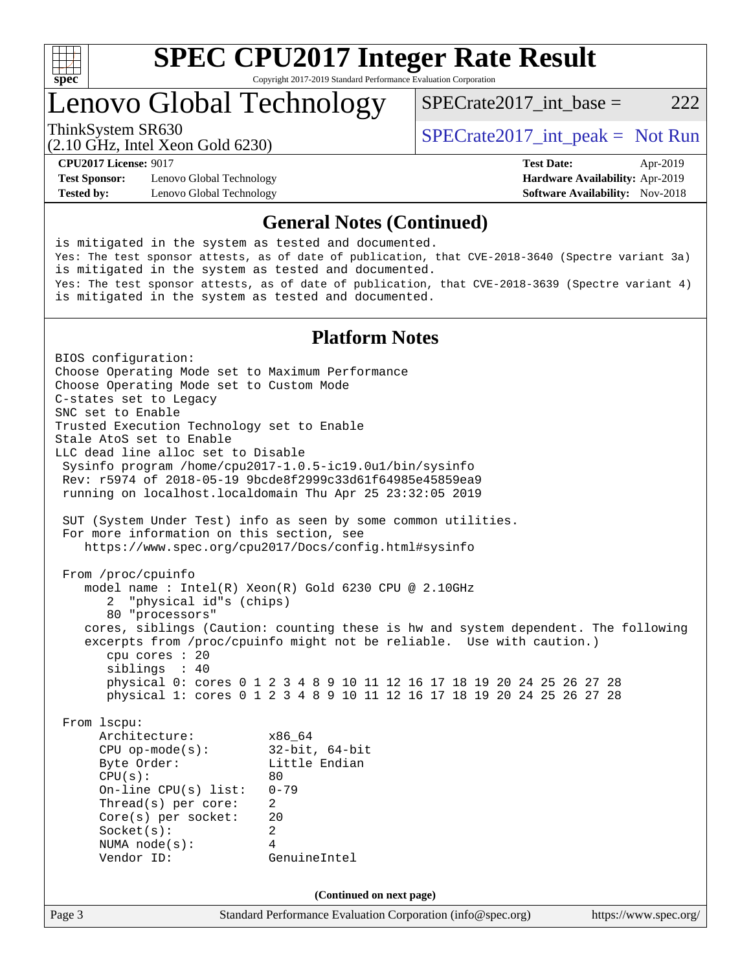

# Lenovo Global Technology

ThinkSystem SR630<br>  $SPECTA = Not Run$ <br>  $SPECTA = Not Run$ 

SPECrate2017 int\_base =  $222$ 

(2.10 GHz, Intel Xeon Gold 6230)

**[Test Sponsor:](http://www.spec.org/auto/cpu2017/Docs/result-fields.html#TestSponsor)** Lenovo Global Technology **[Hardware Availability:](http://www.spec.org/auto/cpu2017/Docs/result-fields.html#HardwareAvailability)** Apr-2019 **[Tested by:](http://www.spec.org/auto/cpu2017/Docs/result-fields.html#Testedby)** Lenovo Global Technology **[Software Availability:](http://www.spec.org/auto/cpu2017/Docs/result-fields.html#SoftwareAvailability)** Nov-2018

**[CPU2017 License:](http://www.spec.org/auto/cpu2017/Docs/result-fields.html#CPU2017License)** 9017 **[Test Date:](http://www.spec.org/auto/cpu2017/Docs/result-fields.html#TestDate)** Apr-2019

#### **[General Notes \(Continued\)](http://www.spec.org/auto/cpu2017/Docs/result-fields.html#GeneralNotes)**

is mitigated in the system as tested and documented. Yes: The test sponsor attests, as of date of publication, that CVE-2018-3640 (Spectre variant 3a) is mitigated in the system as tested and documented. Yes: The test sponsor attests, as of date of publication, that CVE-2018-3639 (Spectre variant 4) is mitigated in the system as tested and documented.

### **[Platform Notes](http://www.spec.org/auto/cpu2017/Docs/result-fields.html#PlatformNotes)**

Page 3 Standard Performance Evaluation Corporation [\(info@spec.org\)](mailto:info@spec.org) <https://www.spec.org/> BIOS configuration: Choose Operating Mode set to Maximum Performance Choose Operating Mode set to Custom Mode C-states set to Legacy SNC set to Enable Trusted Execution Technology set to Enable Stale AtoS set to Enable LLC dead line alloc set to Disable Sysinfo program /home/cpu2017-1.0.5-ic19.0u1/bin/sysinfo Rev: r5974 of 2018-05-19 9bcde8f2999c33d61f64985e45859ea9 running on localhost.localdomain Thu Apr 25 23:32:05 2019 SUT (System Under Test) info as seen by some common utilities. For more information on this section, see <https://www.spec.org/cpu2017/Docs/config.html#sysinfo> From /proc/cpuinfo model name : Intel(R) Xeon(R) Gold 6230 CPU @ 2.10GHz 2 "physical id"s (chips) 80 "processors" cores, siblings (Caution: counting these is hw and system dependent. The following excerpts from /proc/cpuinfo might not be reliable. Use with caution.) cpu cores : 20 siblings : 40 physical 0: cores 0 1 2 3 4 8 9 10 11 12 16 17 18 19 20 24 25 26 27 28 physical 1: cores 0 1 2 3 4 8 9 10 11 12 16 17 18 19 20 24 25 26 27 28 From lscpu: Architecture: x86\_64 CPU op-mode(s): 32-bit, 64-bit Byte Order: Little Endian  $CPU(s):$  80 On-line CPU(s) list: 0-79 Thread(s) per core: 2 Core(s) per socket: 20 Socket(s): 2 NUMA node(s): 4 Vendor ID: GenuineIntel **(Continued on next page)**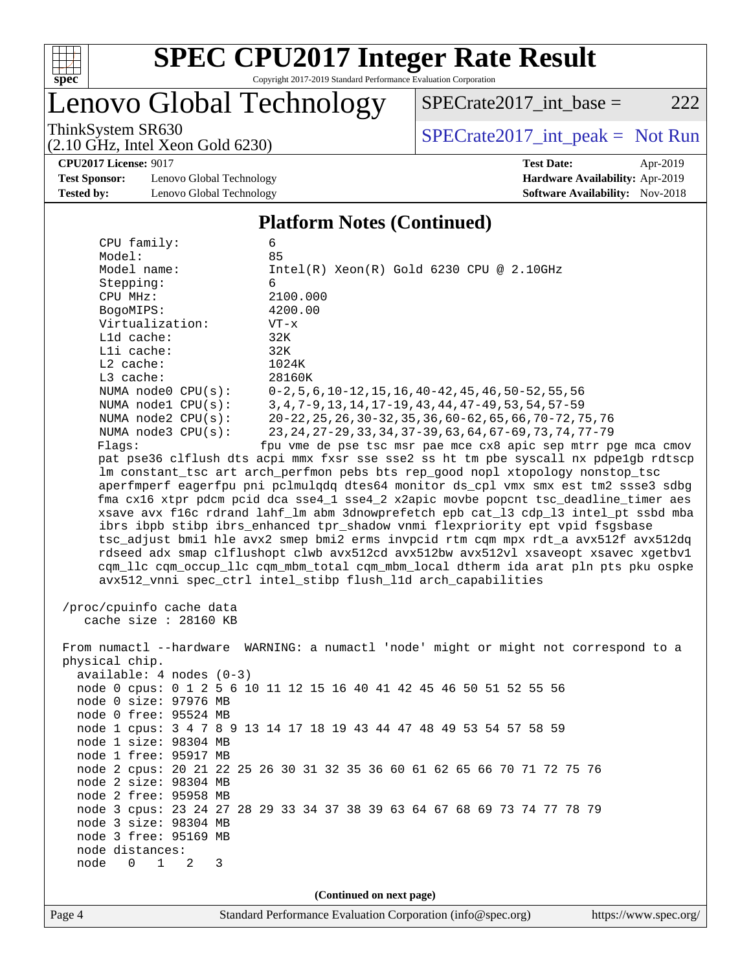

# Lenovo Global Technology

 $SPECTate2017\_int\_base = 222$ 

(2.10 GHz, Intel Xeon Gold 6230)

ThinkSystem SR630<br>  $(2.10 \text{ GHz. Intel } Y_{\text{QCD}}$  Gold 6230)

**[CPU2017 License:](http://www.spec.org/auto/cpu2017/Docs/result-fields.html#CPU2017License)** 9017 **[Test Date:](http://www.spec.org/auto/cpu2017/Docs/result-fields.html#TestDate)** Apr-2019

**[Test Sponsor:](http://www.spec.org/auto/cpu2017/Docs/result-fields.html#TestSponsor)** Lenovo Global Technology **[Hardware Availability:](http://www.spec.org/auto/cpu2017/Docs/result-fields.html#HardwareAvailability)** Apr-2019 **[Tested by:](http://www.spec.org/auto/cpu2017/Docs/result-fields.html#Testedby)** Lenovo Global Technology **[Software Availability:](http://www.spec.org/auto/cpu2017/Docs/result-fields.html#SoftwareAvailability)** Nov-2018

#### **[Platform Notes \(Continued\)](http://www.spec.org/auto/cpu2017/Docs/result-fields.html#PlatformNotes)**

| CPU family:<br>Model:            | 6<br>85                                                                                                                     |  |  |  |  |  |
|----------------------------------|-----------------------------------------------------------------------------------------------------------------------------|--|--|--|--|--|
| Model name:                      | $Intel(R)$ Xeon $(R)$ Gold 6230 CPU @ 2.10GHz                                                                               |  |  |  |  |  |
| Stepping:                        | 6                                                                                                                           |  |  |  |  |  |
| CPU MHz:                         | 2100.000                                                                                                                    |  |  |  |  |  |
| BogoMIPS:                        | 4200.00                                                                                                                     |  |  |  |  |  |
| Virtualization:                  | $VT - x$                                                                                                                    |  |  |  |  |  |
| L1d cache:                       | 32K                                                                                                                         |  |  |  |  |  |
| Lli cache:                       | 32K                                                                                                                         |  |  |  |  |  |
| $L2$ cache:                      | 1024K                                                                                                                       |  |  |  |  |  |
| L3 cache:                        | 28160K                                                                                                                      |  |  |  |  |  |
| NUMA node0 CPU(s):               | $0-2, 5, 6, 10-12, 15, 16, 40-42, 45, 46, 50-52, 55, 56$                                                                    |  |  |  |  |  |
| NUMA nodel CPU(s):               | 3, 4, 7-9, 13, 14, 17-19, 43, 44, 47-49, 53, 54, 57-59                                                                      |  |  |  |  |  |
| NUMA $node2$ $CPU(s):$           | 20-22, 25, 26, 30-32, 35, 36, 60-62, 65, 66, 70-72, 75, 76                                                                  |  |  |  |  |  |
| NUMA $node3$ $CPU(s):$<br>Flags: | 23, 24, 27-29, 33, 34, 37-39, 63, 64, 67-69, 73, 74, 77-79<br>fpu vme de pse tsc msr pae mce cx8 apic sep mtrr pge mca cmov |  |  |  |  |  |
|                                  | pat pse36 clflush dts acpi mmx fxsr sse sse2 ss ht tm pbe syscall nx pdpelgb rdtscp                                         |  |  |  |  |  |
|                                  | lm constant_tsc art arch_perfmon pebs bts rep_good nopl xtopology nonstop_tsc                                               |  |  |  |  |  |
|                                  | aperfmperf eagerfpu pni pclmulqdq dtes64 monitor ds_cpl vmx smx est tm2 ssse3 sdbg                                          |  |  |  |  |  |
|                                  | fma cx16 xtpr pdcm pcid dca sse4_1 sse4_2 x2apic movbe popcnt tsc_deadline_timer aes                                        |  |  |  |  |  |
|                                  | xsave avx f16c rdrand lahf_lm abm 3dnowprefetch epb cat_13 cdp_13 intel_pt ssbd mba                                         |  |  |  |  |  |
|                                  | ibrs ibpb stibp ibrs_enhanced tpr_shadow vnmi flexpriority ept vpid fsgsbase                                                |  |  |  |  |  |
|                                  | tsc_adjust bmil hle avx2 smep bmi2 erms invpcid rtm cqm mpx rdt_a avx512f avx512dq                                          |  |  |  |  |  |
|                                  | rdseed adx smap clflushopt clwb avx512cd avx512bw avx512vl xsaveopt xsavec xgetbvl                                          |  |  |  |  |  |
|                                  | cqm_llc cqm_occup_llc cqm_mbm_total cqm_mbm_local dtherm ida arat pln pts pku ospke                                         |  |  |  |  |  |
|                                  | avx512_vnni spec_ctrl intel_stibp flush_l1d arch_capabilities                                                               |  |  |  |  |  |
|                                  |                                                                                                                             |  |  |  |  |  |
| /proc/cpuinfo cache data         |                                                                                                                             |  |  |  |  |  |
| cache size : 28160 KB            |                                                                                                                             |  |  |  |  |  |
|                                  | From numactl --hardware WARNING: a numactl 'node' might or might not correspond to a                                        |  |  |  |  |  |
| physical chip.                   |                                                                                                                             |  |  |  |  |  |
| $available: 4 nodes (0-3)$       |                                                                                                                             |  |  |  |  |  |
|                                  | node 0 cpus: 0 1 2 5 6 10 11 12 15 16 40 41 42 45 46 50 51 52 55 56                                                         |  |  |  |  |  |
| node 0 size: 97976 MB            |                                                                                                                             |  |  |  |  |  |
| node 0 free: 95524 MB            |                                                                                                                             |  |  |  |  |  |
|                                  | node 1 cpus: 3 4 7 8 9 13 14 17 18 19 43 44 47 48 49 53 54 57 58 59                                                         |  |  |  |  |  |
| node 1 size: 98304 MB            |                                                                                                                             |  |  |  |  |  |
| node 1 free: 95917 MB            |                                                                                                                             |  |  |  |  |  |
|                                  | node 2 cpus: 20 21 22 25 26 30 31 32 35 36 60 61 62 65 66 70 71 72 75 76                                                    |  |  |  |  |  |
| node 2 size: 98304 MB            |                                                                                                                             |  |  |  |  |  |
| node 2 free: 95958 MB            |                                                                                                                             |  |  |  |  |  |
|                                  | node 3 cpus: 23 24 27 28 29 33 34 37 38 39 63 64 67 68 69 73 74 77 78 79                                                    |  |  |  |  |  |
| node 3 size: 98304 MB            |                                                                                                                             |  |  |  |  |  |
| node 3 free: 95169 MB            |                                                                                                                             |  |  |  |  |  |
| node distances:                  |                                                                                                                             |  |  |  |  |  |
| 1<br>node<br>0<br>2<br>3         |                                                                                                                             |  |  |  |  |  |
|                                  |                                                                                                                             |  |  |  |  |  |
| (Continued on next page)         |                                                                                                                             |  |  |  |  |  |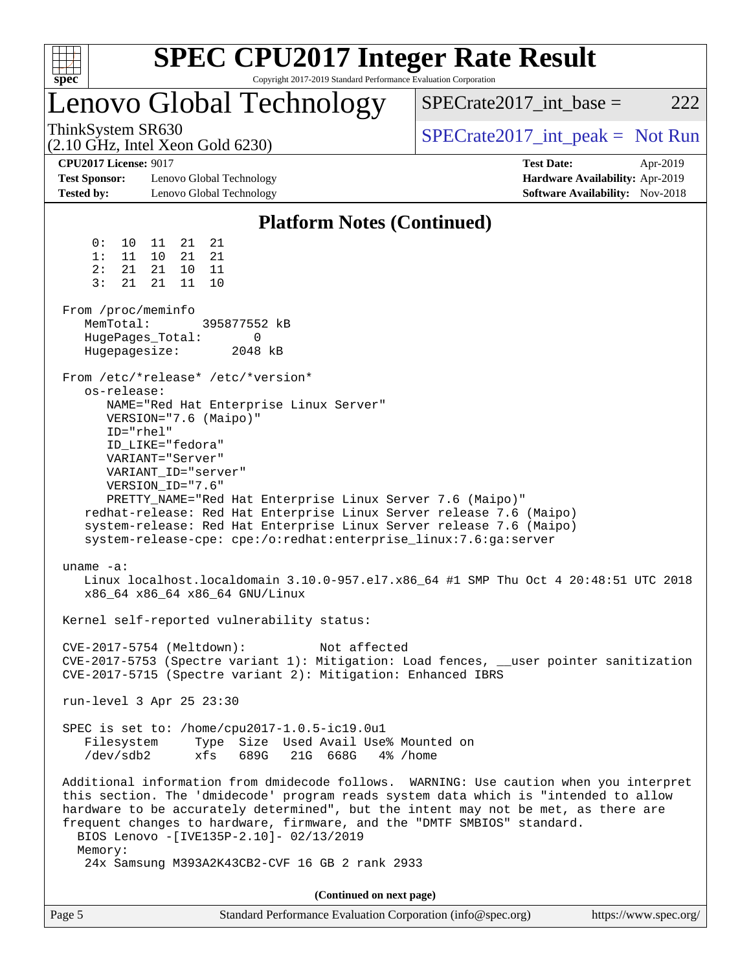| $spec^*$                                                                                                                                                          |                                                                                                                                                                                                                                                                                                                     | <b>SPEC CPU2017 Integer Rate Result</b><br>Copyright 2017-2019 Standard Performance Evaluation Corporation                                                                                                                                                                                                                                                                                                                                                                                                                                                                                                                                                                                                             |                                                                                         |          |
|-------------------------------------------------------------------------------------------------------------------------------------------------------------------|---------------------------------------------------------------------------------------------------------------------------------------------------------------------------------------------------------------------------------------------------------------------------------------------------------------------|------------------------------------------------------------------------------------------------------------------------------------------------------------------------------------------------------------------------------------------------------------------------------------------------------------------------------------------------------------------------------------------------------------------------------------------------------------------------------------------------------------------------------------------------------------------------------------------------------------------------------------------------------------------------------------------------------------------------|-----------------------------------------------------------------------------------------|----------|
|                                                                                                                                                                   |                                                                                                                                                                                                                                                                                                                     | Lenovo Global Technology                                                                                                                                                                                                                                                                                                                                                                                                                                                                                                                                                                                                                                                                                               | $SPECrate2017\_int\_base =$                                                             | 222      |
| ThinkSystem SR630<br>$(2.10 \text{ GHz}, \text{Intel Xeon Gold } 6230)$                                                                                           |                                                                                                                                                                                                                                                                                                                     |                                                                                                                                                                                                                                                                                                                                                                                                                                                                                                                                                                                                                                                                                                                        | $SPECrate2017\_int\_peak = Not Run$                                                     |          |
| <b>CPU2017 License: 9017</b><br><b>Test Sponsor:</b><br><b>Tested by:</b>                                                                                         | Lenovo Global Technology<br>Lenovo Global Technology                                                                                                                                                                                                                                                                |                                                                                                                                                                                                                                                                                                                                                                                                                                                                                                                                                                                                                                                                                                                        | <b>Test Date:</b><br>Hardware Availability: Apr-2019<br>Software Availability: Nov-2018 | Apr-2019 |
|                                                                                                                                                                   |                                                                                                                                                                                                                                                                                                                     | <b>Platform Notes (Continued)</b>                                                                                                                                                                                                                                                                                                                                                                                                                                                                                                                                                                                                                                                                                      |                                                                                         |          |
| 0 :<br>10<br>1:<br>11<br>2:<br>21<br>3:<br>21<br>From /proc/meminfo<br>MemTotal:<br>HugePages_Total:<br>Hugepagesize:<br>os-release:<br>ID="rhel"<br>uname $-a$ : | 21<br>21<br>11<br>21<br>10<br>21<br>10<br>11<br>21<br>11<br>10<br>21<br>From /etc/*release* /etc/*version*<br>VERSION="7.6 (Maipo)"<br>ID LIKE="fedora"<br>VARIANT="Server"<br>VARIANT_ID="server"<br>VERSION_ID="7.6"<br>x86_64 x86_64 x86_64 GNU/Linux<br>$CVE-2017-5754$ (Meltdown):<br>run-level 3 Apr 25 23:30 | 395877552 kB<br>0<br>2048 kB<br>NAME="Red Hat Enterprise Linux Server"<br>PRETTY_NAME="Red Hat Enterprise Linux Server 7.6 (Maipo)"<br>redhat-release: Red Hat Enterprise Linux Server release 7.6 (Maipo)<br>system-release: Red Hat Enterprise Linux Server release 7.6 (Maipo)<br>system-release-cpe: cpe:/o:redhat:enterprise_linux:7.6:ga:server<br>Linux localhost.localdomain 3.10.0-957.el7.x86_64 #1 SMP Thu Oct 4 20:48:51 UTC 2018<br>Kernel self-reported vulnerability status:<br>Not affected<br>CVE-2017-5753 (Spectre variant 1): Mitigation: Load fences, __user pointer sanitization<br>CVE-2017-5715 (Spectre variant 2): Mitigation: Enhanced IBRS<br>SPEC is set to: /home/cpu2017-1.0.5-ic19.0u1 |                                                                                         |          |
| Filesystem<br>/dev/sdb2                                                                                                                                           |                                                                                                                                                                                                                                                                                                                     | Type Size Used Avail Use% Mounted on<br>xfs 689G 21G 668G<br>4% /home                                                                                                                                                                                                                                                                                                                                                                                                                                                                                                                                                                                                                                                  |                                                                                         |          |
| Memory:                                                                                                                                                           |                                                                                                                                                                                                                                                                                                                     | Additional information from dmidecode follows. WARNING: Use caution when you interpret<br>this section. The 'dmidecode' program reads system data which is "intended to allow<br>hardware to be accurately determined", but the intent may not be met, as there are<br>frequent changes to hardware, firmware, and the "DMTF SMBIOS" standard.<br>BIOS Lenovo - [IVE135P-2.10]- 02/13/2019                                                                                                                                                                                                                                                                                                                             |                                                                                         |          |
|                                                                                                                                                                   |                                                                                                                                                                                                                                                                                                                     | 24x Samsung M393A2K43CB2-CVF 16 GB 2 rank 2933                                                                                                                                                                                                                                                                                                                                                                                                                                                                                                                                                                                                                                                                         |                                                                                         |          |
|                                                                                                                                                                   |                                                                                                                                                                                                                                                                                                                     | (Continued on next page)                                                                                                                                                                                                                                                                                                                                                                                                                                                                                                                                                                                                                                                                                               |                                                                                         |          |

| Page 5 | Standard Performance Evaluation Corporation (info@spec.org) | https://www.spec.org/ |
|--------|-------------------------------------------------------------|-----------------------|
|--------|-------------------------------------------------------------|-----------------------|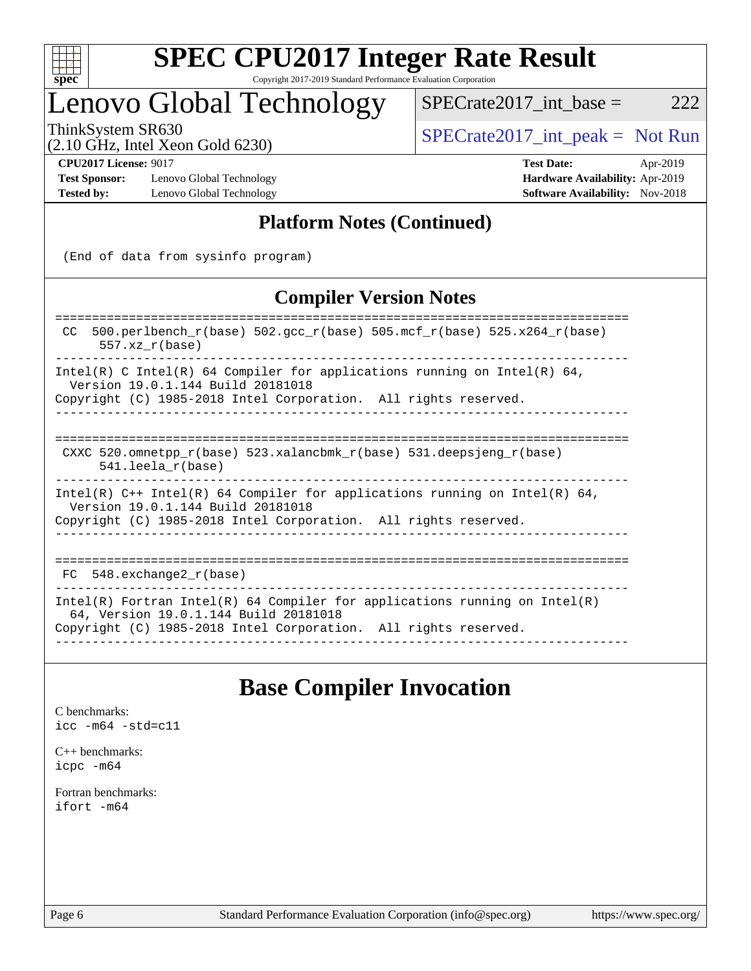

### Lenovo Global Technology

ThinkSystem SR630<br>  $(2.10 \text{ GHz. Intel Yoon Gold } 6230)$  [SPECrate2017\\_int\\_peak =](http://www.spec.org/auto/cpu2017/Docs/result-fields.html#SPECrate2017intpeak) Not Run

 $SPECTate2017\_int\_base = 222$ 

### (2.10 GHz, Intel Xeon Gold 6230)

**[Test Sponsor:](http://www.spec.org/auto/cpu2017/Docs/result-fields.html#TestSponsor)** Lenovo Global Technology **[Hardware Availability:](http://www.spec.org/auto/cpu2017/Docs/result-fields.html#HardwareAvailability)** Apr-2019 **[Tested by:](http://www.spec.org/auto/cpu2017/Docs/result-fields.html#Testedby)** Lenovo Global Technology **[Software Availability:](http://www.spec.org/auto/cpu2017/Docs/result-fields.html#SoftwareAvailability)** Nov-2018

**[CPU2017 License:](http://www.spec.org/auto/cpu2017/Docs/result-fields.html#CPU2017License)** 9017 **[Test Date:](http://www.spec.org/auto/cpu2017/Docs/result-fields.html#TestDate)** Apr-2019

### **[Platform Notes \(Continued\)](http://www.spec.org/auto/cpu2017/Docs/result-fields.html#PlatformNotes)**

(End of data from sysinfo program)

### **[Compiler Version Notes](http://www.spec.org/auto/cpu2017/Docs/result-fields.html#CompilerVersionNotes)**

| $500. perlbench_r(base) 502. gcc_r(base) 505. mcf_r(base) 525. x264_r(base)$<br>CC.<br>$557.xx$ $r(base)$                                                                              |
|----------------------------------------------------------------------------------------------------------------------------------------------------------------------------------------|
| Intel(R) C Intel(R) 64 Compiler for applications running on Intel(R) 64,<br>Version 19.0.1.144 Build 20181018<br>Copyright (C) 1985-2018 Intel Corporation. All rights reserved.       |
|                                                                                                                                                                                        |
| CXXC 520.omnetpp $r(base)$ 523.xalancbmk $r(base)$ 531.deepsjeng $r(base)$<br>$541.$ leela r(base)                                                                                     |
| Intel(R) $C++$ Intel(R) 64 Compiler for applications running on Intel(R) 64,<br>Version 19.0.1.144 Build 20181018<br>Copyright (C) 1985-2018 Intel Corporation. All rights reserved.   |
| FC 548. exchange2 r(base)                                                                                                                                                              |
| Intel(R) Fortran Intel(R) 64 Compiler for applications running on Intel(R)<br>64, Version 19.0.1.144 Build 20181018<br>Copyright (C) 1985-2018 Intel Corporation. All rights reserved. |

### **[Base Compiler Invocation](http://www.spec.org/auto/cpu2017/Docs/result-fields.html#BaseCompilerInvocation)**

[C benchmarks](http://www.spec.org/auto/cpu2017/Docs/result-fields.html#Cbenchmarks): [icc -m64 -std=c11](http://www.spec.org/cpu2017/results/res2019q2/cpu2017-20190429-12939.flags.html#user_CCbase_intel_icc_64bit_c11_33ee0cdaae7deeeab2a9725423ba97205ce30f63b9926c2519791662299b76a0318f32ddfffdc46587804de3178b4f9328c46fa7c2b0cd779d7a61945c91cd35)

[C++ benchmarks:](http://www.spec.org/auto/cpu2017/Docs/result-fields.html#CXXbenchmarks) [icpc -m64](http://www.spec.org/cpu2017/results/res2019q2/cpu2017-20190429-12939.flags.html#user_CXXbase_intel_icpc_64bit_4ecb2543ae3f1412ef961e0650ca070fec7b7afdcd6ed48761b84423119d1bf6bdf5cad15b44d48e7256388bc77273b966e5eb805aefd121eb22e9299b2ec9d9)

[Fortran benchmarks](http://www.spec.org/auto/cpu2017/Docs/result-fields.html#Fortranbenchmarks): [ifort -m64](http://www.spec.org/cpu2017/results/res2019q2/cpu2017-20190429-12939.flags.html#user_FCbase_intel_ifort_64bit_24f2bb282fbaeffd6157abe4f878425411749daecae9a33200eee2bee2fe76f3b89351d69a8130dd5949958ce389cf37ff59a95e7a40d588e8d3a57e0c3fd751)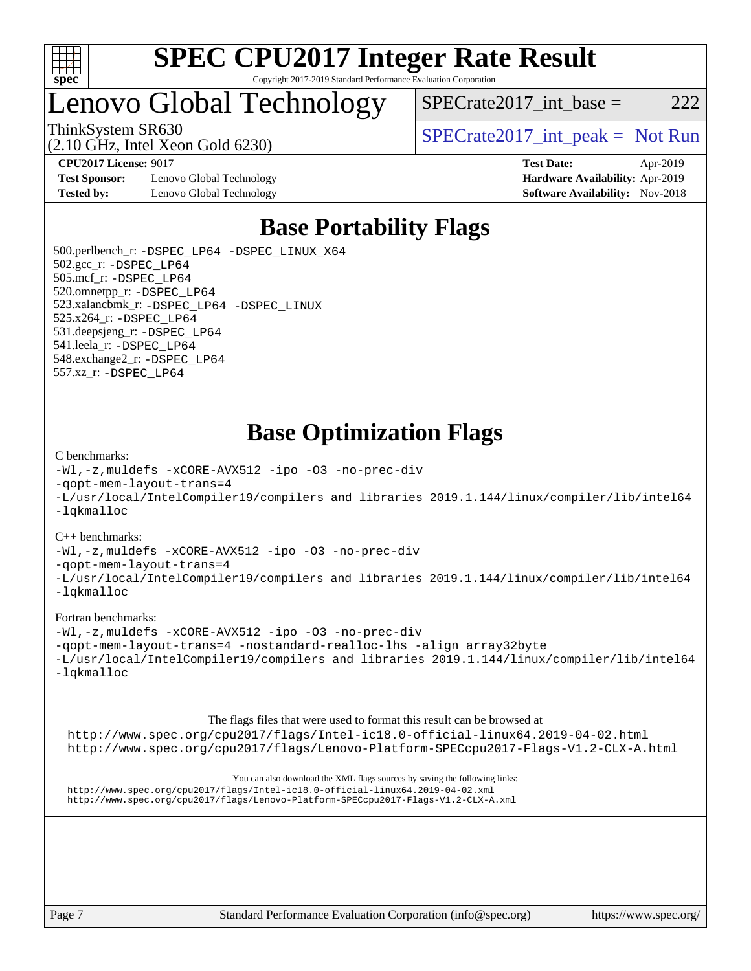

# Lenovo Global Technology

ThinkSystem SR630  $SPECrate2017$ \_int\_peak = Not Run

 $SPECrate2017\_int\_base = 222$ 

(2.10 GHz, Intel Xeon Gold 6230)

**[CPU2017 License:](http://www.spec.org/auto/cpu2017/Docs/result-fields.html#CPU2017License)** 9017 **[Test Date:](http://www.spec.org/auto/cpu2017/Docs/result-fields.html#TestDate)** Apr-2019

**[Test Sponsor:](http://www.spec.org/auto/cpu2017/Docs/result-fields.html#TestSponsor)** Lenovo Global Technology **[Hardware Availability:](http://www.spec.org/auto/cpu2017/Docs/result-fields.html#HardwareAvailability)** Apr-2019 **[Tested by:](http://www.spec.org/auto/cpu2017/Docs/result-fields.html#Testedby)** Lenovo Global Technology **[Software Availability:](http://www.spec.org/auto/cpu2017/Docs/result-fields.html#SoftwareAvailability)** Nov-2018

### **[Base Portability Flags](http://www.spec.org/auto/cpu2017/Docs/result-fields.html#BasePortabilityFlags)**

 500.perlbench\_r: [-DSPEC\\_LP64](http://www.spec.org/cpu2017/results/res2019q2/cpu2017-20190429-12939.flags.html#b500.perlbench_r_basePORTABILITY_DSPEC_LP64) [-DSPEC\\_LINUX\\_X64](http://www.spec.org/cpu2017/results/res2019q2/cpu2017-20190429-12939.flags.html#b500.perlbench_r_baseCPORTABILITY_DSPEC_LINUX_X64) 502.gcc\_r: [-DSPEC\\_LP64](http://www.spec.org/cpu2017/results/res2019q2/cpu2017-20190429-12939.flags.html#suite_basePORTABILITY502_gcc_r_DSPEC_LP64) 505.mcf\_r: [-DSPEC\\_LP64](http://www.spec.org/cpu2017/results/res2019q2/cpu2017-20190429-12939.flags.html#suite_basePORTABILITY505_mcf_r_DSPEC_LP64) 520.omnetpp\_r: [-DSPEC\\_LP64](http://www.spec.org/cpu2017/results/res2019q2/cpu2017-20190429-12939.flags.html#suite_basePORTABILITY520_omnetpp_r_DSPEC_LP64) 523.xalancbmk\_r: [-DSPEC\\_LP64](http://www.spec.org/cpu2017/results/res2019q2/cpu2017-20190429-12939.flags.html#suite_basePORTABILITY523_xalancbmk_r_DSPEC_LP64) [-DSPEC\\_LINUX](http://www.spec.org/cpu2017/results/res2019q2/cpu2017-20190429-12939.flags.html#b523.xalancbmk_r_baseCXXPORTABILITY_DSPEC_LINUX) 525.x264\_r: [-DSPEC\\_LP64](http://www.spec.org/cpu2017/results/res2019q2/cpu2017-20190429-12939.flags.html#suite_basePORTABILITY525_x264_r_DSPEC_LP64) 531.deepsjeng\_r: [-DSPEC\\_LP64](http://www.spec.org/cpu2017/results/res2019q2/cpu2017-20190429-12939.flags.html#suite_basePORTABILITY531_deepsjeng_r_DSPEC_LP64) 541.leela\_r: [-DSPEC\\_LP64](http://www.spec.org/cpu2017/results/res2019q2/cpu2017-20190429-12939.flags.html#suite_basePORTABILITY541_leela_r_DSPEC_LP64) 548.exchange2\_r: [-DSPEC\\_LP64](http://www.spec.org/cpu2017/results/res2019q2/cpu2017-20190429-12939.flags.html#suite_basePORTABILITY548_exchange2_r_DSPEC_LP64) 557.xz\_r: [-DSPEC\\_LP64](http://www.spec.org/cpu2017/results/res2019q2/cpu2017-20190429-12939.flags.html#suite_basePORTABILITY557_xz_r_DSPEC_LP64)

### **[Base Optimization Flags](http://www.spec.org/auto/cpu2017/Docs/result-fields.html#BaseOptimizationFlags)**

#### [C benchmarks](http://www.spec.org/auto/cpu2017/Docs/result-fields.html#Cbenchmarks):

[-Wl,-z,muldefs](http://www.spec.org/cpu2017/results/res2019q2/cpu2017-20190429-12939.flags.html#user_CCbase_link_force_multiple1_b4cbdb97b34bdee9ceefcfe54f4c8ea74255f0b02a4b23e853cdb0e18eb4525ac79b5a88067c842dd0ee6996c24547a27a4b99331201badda8798ef8a743f577) [-xCORE-AVX512](http://www.spec.org/cpu2017/results/res2019q2/cpu2017-20190429-12939.flags.html#user_CCbase_f-xCORE-AVX512) [-ipo](http://www.spec.org/cpu2017/results/res2019q2/cpu2017-20190429-12939.flags.html#user_CCbase_f-ipo) [-O3](http://www.spec.org/cpu2017/results/res2019q2/cpu2017-20190429-12939.flags.html#user_CCbase_f-O3) [-no-prec-div](http://www.spec.org/cpu2017/results/res2019q2/cpu2017-20190429-12939.flags.html#user_CCbase_f-no-prec-div) [-qopt-mem-layout-trans=4](http://www.spec.org/cpu2017/results/res2019q2/cpu2017-20190429-12939.flags.html#user_CCbase_f-qopt-mem-layout-trans_fa39e755916c150a61361b7846f310bcdf6f04e385ef281cadf3647acec3f0ae266d1a1d22d972a7087a248fd4e6ca390a3634700869573d231a252c784941a8) [-L/usr/local/IntelCompiler19/compilers\\_and\\_libraries\\_2019.1.144/linux/compiler/lib/intel64](http://www.spec.org/cpu2017/results/res2019q2/cpu2017-20190429-12939.flags.html#user_CCbase_qkmalloc_link_f25da0aa8cf9bced0533715046f0c2fbfb1a7191e3e496916672e09b4c388a884c4c7e4862cb529343da2264b43416df65c99fd1ddbf5dd13ae6d3130cf47881) [-lqkmalloc](http://www.spec.org/cpu2017/results/res2019q2/cpu2017-20190429-12939.flags.html#user_CCbase_qkmalloc_link_lib_79a818439969f771c6bc311cfd333c00fc099dad35c030f5aab9dda831713d2015205805422f83de8875488a2991c0a156aaa600e1f9138f8fc37004abc96dc5)

#### [C++ benchmarks](http://www.spec.org/auto/cpu2017/Docs/result-fields.html#CXXbenchmarks):

[-Wl,-z,muldefs](http://www.spec.org/cpu2017/results/res2019q2/cpu2017-20190429-12939.flags.html#user_CXXbase_link_force_multiple1_b4cbdb97b34bdee9ceefcfe54f4c8ea74255f0b02a4b23e853cdb0e18eb4525ac79b5a88067c842dd0ee6996c24547a27a4b99331201badda8798ef8a743f577) [-xCORE-AVX512](http://www.spec.org/cpu2017/results/res2019q2/cpu2017-20190429-12939.flags.html#user_CXXbase_f-xCORE-AVX512) [-ipo](http://www.spec.org/cpu2017/results/res2019q2/cpu2017-20190429-12939.flags.html#user_CXXbase_f-ipo) [-O3](http://www.spec.org/cpu2017/results/res2019q2/cpu2017-20190429-12939.flags.html#user_CXXbase_f-O3) [-no-prec-div](http://www.spec.org/cpu2017/results/res2019q2/cpu2017-20190429-12939.flags.html#user_CXXbase_f-no-prec-div)

[-qopt-mem-layout-trans=4](http://www.spec.org/cpu2017/results/res2019q2/cpu2017-20190429-12939.flags.html#user_CXXbase_f-qopt-mem-layout-trans_fa39e755916c150a61361b7846f310bcdf6f04e385ef281cadf3647acec3f0ae266d1a1d22d972a7087a248fd4e6ca390a3634700869573d231a252c784941a8)

[-L/usr/local/IntelCompiler19/compilers\\_and\\_libraries\\_2019.1.144/linux/compiler/lib/intel64](http://www.spec.org/cpu2017/results/res2019q2/cpu2017-20190429-12939.flags.html#user_CXXbase_qkmalloc_link_f25da0aa8cf9bced0533715046f0c2fbfb1a7191e3e496916672e09b4c388a884c4c7e4862cb529343da2264b43416df65c99fd1ddbf5dd13ae6d3130cf47881) [-lqkmalloc](http://www.spec.org/cpu2017/results/res2019q2/cpu2017-20190429-12939.flags.html#user_CXXbase_qkmalloc_link_lib_79a818439969f771c6bc311cfd333c00fc099dad35c030f5aab9dda831713d2015205805422f83de8875488a2991c0a156aaa600e1f9138f8fc37004abc96dc5)

#### [Fortran benchmarks](http://www.spec.org/auto/cpu2017/Docs/result-fields.html#Fortranbenchmarks):

[-Wl,-z,muldefs](http://www.spec.org/cpu2017/results/res2019q2/cpu2017-20190429-12939.flags.html#user_FCbase_link_force_multiple1_b4cbdb97b34bdee9ceefcfe54f4c8ea74255f0b02a4b23e853cdb0e18eb4525ac79b5a88067c842dd0ee6996c24547a27a4b99331201badda8798ef8a743f577) [-xCORE-AVX512](http://www.spec.org/cpu2017/results/res2019q2/cpu2017-20190429-12939.flags.html#user_FCbase_f-xCORE-AVX512) [-ipo](http://www.spec.org/cpu2017/results/res2019q2/cpu2017-20190429-12939.flags.html#user_FCbase_f-ipo) [-O3](http://www.spec.org/cpu2017/results/res2019q2/cpu2017-20190429-12939.flags.html#user_FCbase_f-O3) [-no-prec-div](http://www.spec.org/cpu2017/results/res2019q2/cpu2017-20190429-12939.flags.html#user_FCbase_f-no-prec-div) [-qopt-mem-layout-trans=4](http://www.spec.org/cpu2017/results/res2019q2/cpu2017-20190429-12939.flags.html#user_FCbase_f-qopt-mem-layout-trans_fa39e755916c150a61361b7846f310bcdf6f04e385ef281cadf3647acec3f0ae266d1a1d22d972a7087a248fd4e6ca390a3634700869573d231a252c784941a8) [-nostandard-realloc-lhs](http://www.spec.org/cpu2017/results/res2019q2/cpu2017-20190429-12939.flags.html#user_FCbase_f_2003_std_realloc_82b4557e90729c0f113870c07e44d33d6f5a304b4f63d4c15d2d0f1fab99f5daaed73bdb9275d9ae411527f28b936061aa8b9c8f2d63842963b95c9dd6426b8a) [-align array32byte](http://www.spec.org/cpu2017/results/res2019q2/cpu2017-20190429-12939.flags.html#user_FCbase_align_array32byte_b982fe038af199962ba9a80c053b8342c548c85b40b8e86eb3cc33dee0d7986a4af373ac2d51c3f7cf710a18d62fdce2948f201cd044323541f22fc0fffc51b6) [-L/usr/local/IntelCompiler19/compilers\\_and\\_libraries\\_2019.1.144/linux/compiler/lib/intel64](http://www.spec.org/cpu2017/results/res2019q2/cpu2017-20190429-12939.flags.html#user_FCbase_qkmalloc_link_f25da0aa8cf9bced0533715046f0c2fbfb1a7191e3e496916672e09b4c388a884c4c7e4862cb529343da2264b43416df65c99fd1ddbf5dd13ae6d3130cf47881) [-lqkmalloc](http://www.spec.org/cpu2017/results/res2019q2/cpu2017-20190429-12939.flags.html#user_FCbase_qkmalloc_link_lib_79a818439969f771c6bc311cfd333c00fc099dad35c030f5aab9dda831713d2015205805422f83de8875488a2991c0a156aaa600e1f9138f8fc37004abc96dc5)

The flags files that were used to format this result can be browsed at <http://www.spec.org/cpu2017/flags/Intel-ic18.0-official-linux64.2019-04-02.html> <http://www.spec.org/cpu2017/flags/Lenovo-Platform-SPECcpu2017-Flags-V1.2-CLX-A.html>

You can also download the XML flags sources by saving the following links: <http://www.spec.org/cpu2017/flags/Intel-ic18.0-official-linux64.2019-04-02.xml> <http://www.spec.org/cpu2017/flags/Lenovo-Platform-SPECcpu2017-Flags-V1.2-CLX-A.xml>